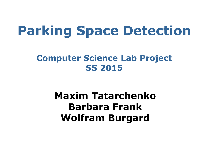# **Parking Space Detection**

#### **Computer Science Lab Project SS 2015**

#### **Maxim Tatarchenko Barbara Frank Wolfram Burgard**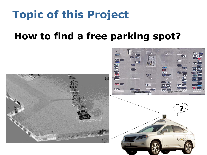## **Topic of this Project**

#### **How to find a free parking spot?**

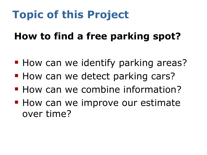# **Topic of this Project**

#### **How to find a free parking spot?**

- **How can we identify parking areas?**
- **How can we detect parking cars?**
- **How can we combine information?**
- **How can we improve our estimate** over time?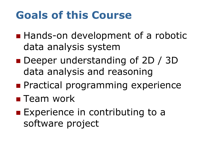## **Goals of this Course**

- **Hands-on development of a robotic** data analysis system
- Deeper understanding of 2D / 3D data analysis and reasoning
- **Practical programming experience**
- **Team work**
- **Experience in contributing to a** software project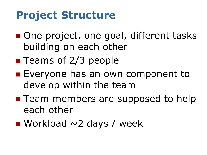## **Project Structure**

- One project, one goal, different tasks building on each other
- **Teams of 2/3 people**
- **Exeryone has an own component to** develop within the team
- **Team members are supposed to help** each other
- Workload  $\sim$ 2 days / week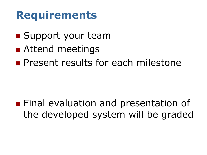#### **Requirements**

- **Support your team**
- Attend meetings
- **Present results for each milestone**

**Final evaluation and presentation of** the developed system will be graded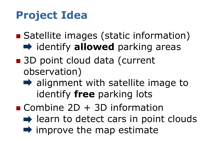# **Project Idea**

- Satellite images (static information)  $\rightarrow$  **identify allowed** parking areas
- 3D point cloud data (current observation)
	- $\rightarrow$  alignment with satellite image to identify **free** parking lots
- Combine  $2D + 3D$  information  $\rightarrow$  learn to detect cars in point clouds  $\rightarrow$  improve the map estimate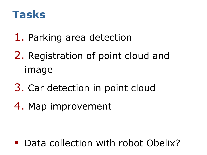

- 1. Parking area detection
- 2. Registration of point cloud and image
- 3. Car detection in point cloud
- 4. Map improvement

Data collection with robot Obelix?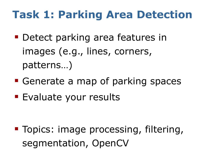### **Task 1: Parking Area Detection**

- **Detect parking area features in** images (e.g., lines, corners, patterns…)
- **Generate a map of parking spaces**
- **Evaluate your results**

**Topics: image processing, filtering,** segmentation, OpenCV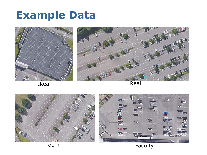#### **Example Data**





Ikea Real

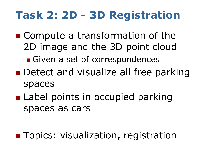### **Task 2: 2D - 3D Registration**

- Compute a transformation of the 2D image and the 3D point cloud
	- Given a set of correspondences
- Detect and visualize all free parking spaces
- **Label points in occupied parking** spaces as cars

**Topics: visualization, registration**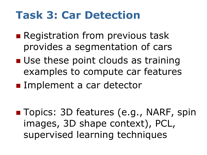#### **Task 3: Car Detection**

- **Registration from previous task** provides a segmentation of cars
- **Use these point clouds as training** examples to compute car features
- **Implement a car detector**

■ Topics: 3D features (e.g., NARF, spin images, 3D shape context), PCL, supervised learning techniques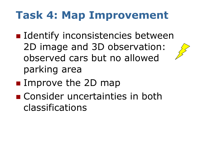## **Task 4: Map Improvement**

- **I** Identify inconsistencies between 2D image and 3D observation: observed cars but no allowed parking area
- **Improve the 2D map**
- Consider uncertainties in both classifications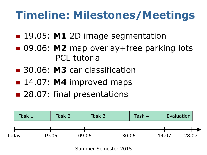# **Timeline: Milestones/Meetings**

- **19.05: M1 2D image segmentation**
- 09.06: M2 map overlay+free parking lots PCL tutorial
- 30.06: **M3** car classification
- **14.07: M4 improved maps**
- 28.07: final presentations



Summer Semester 2015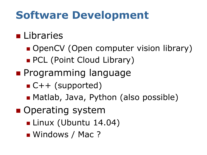## **Software Development**

#### **Libraries**

- OpenCV (Open computer vision library)
- **PCL (Point Cloud Library)**
- **Programming language** 
	- $C++$  (supported)
	- Matlab, Java, Python (also possible)
- **Operating system** 
	- Linux (Ubuntu 14.04)
	- Windows / Mac ?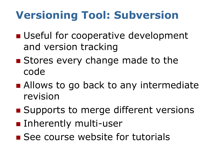# **Versioning Tool: Subversion**

- **Useful for cooperative development** and version tracking
- **Stores every change made to the** code
- Allows to go back to any intermediate revision
- Supports to merge different versions
- **Inherently multi-user**
- See course website for tutorials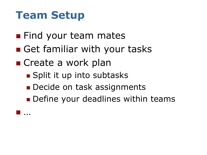### **Team Setup**

…

- **Find your team mates**
- Get familiar with your tasks
- Create a work plan
	- **Split it up into subtasks**
	- Decide on task assignments
	- **Define your deadlines within teams**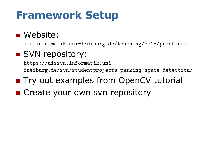### **Framework Setup**

#### ■ Website:

ais.informatik.uni-freiburg.de/teaching/ss15/practical

#### SVN repository:

https://aissvn.informatik.unifreiburg.de/svn/studentprojects-parking-space-detection/

- **Try out examples from OpenCV tutorial**
- **EXTERGE Create your own svn repository**